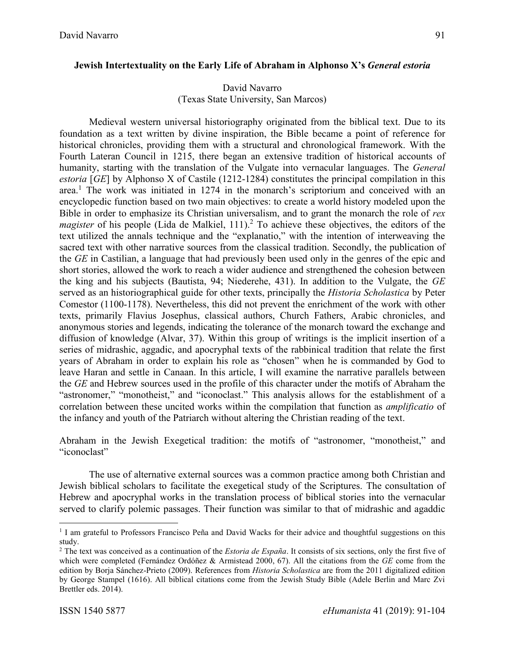### **Jewish Intertextuality on the Early Life of Abraham in Alphonso X's** *General estoria*

### David Navarro (Texas State University, San Marcos)

Medieval western universal historiography originated from the biblical text. Due to its foundation as a text written by divine inspiration, the Bible became a point of reference for historical chronicles, providing them with a structural and chronological framework. With the Fourth Lateran Council in 1215, there began an extensive tradition of historical accounts of humanity, starting with the translation of the Vulgate into vernacular languages. The *General estoria* [*GE*] by Alphonso X of Castile (1212-1284) constitutes the principal compilation in this area.<sup>1</sup> The work was initiated in 1274 in the monarch's scriptorium and conceived with an encyclopedic function based on two main objectives: to create a world history modeled upon the Bible in order to emphasize its Christian universalism, and to grant the monarch the role of *rex magister* of his people (Lida de Malkiel, 111).<sup>2</sup> To achieve these objectives, the editors of the text utilized the annals technique and the "explanatio," with the intention of interweaving the sacred text with other narrative sources from the classical tradition. Secondly, the publication of the *GE* in Castilian, a language that had previously been used only in the genres of the epic and short stories, allowed the work to reach a wider audience and strengthened the cohesion between the king and his subjects (Bautista, 94; Niederehe, 431). In addition to the Vulgate, the *GE* served as an historiographical guide for other texts, principally the *Historia Scholastica* by Peter Comestor (1100-1178). Nevertheless, this did not prevent the enrichment of the work with other texts, primarily Flavius Josephus, classical authors, Church Fathers, Arabic chronicles, and anonymous stories and legends, indicating the tolerance of the monarch toward the exchange and diffusion of knowledge (Alvar, 37). Within this group of writings is the implicit insertion of a series of midrashic, aggadic, and apocryphal texts of the rabbinical tradition that relate the first years of Abraham in order to explain his role as "chosen" when he is commanded by God to leave Haran and settle in Canaan. In this article, I will examine the narrative parallels between the *GE* and Hebrew sources used in the profile of this character under the motifs of Abraham the "astronomer," "monotheist," and "iconoclast." This analysis allows for the establishment of a correlation between these uncited works within the compilation that function as *amplificatio* of the infancy and youth of the Patriarch without altering the Christian reading of the text.

Abraham in the Jewish Exegetical tradition: the motifs of "astronomer, "monotheist," and "iconoclast"

The use of alternative external sources was a common practice among both Christian and Jewish biblical scholars to facilitate the exegetical study of the Scriptures. The consultation of Hebrew and apocryphal works in the translation process of biblical stories into the vernacular served to clarify polemic passages. Their function was similar to that of midrashic and agaddic

 $\overline{a}$ 

<sup>&</sup>lt;sup>1</sup> I am grateful to Professors Francisco Peña and David Wacks for their advice and thoughtful suggestions on this study.

<sup>2</sup> The text was conceived as a continuation of the *Estoria de España*. It consists of six sections, only the first five of which were completed (Fernández Ordóñez & Armistead 2000, 67). All the citations from the *GE* come from the edition by Borja Sánchez-Prieto (2009). References from *Historia Scholastica* are from the 2011 digitalized edition by George Stampel (1616). All biblical citations come from the Jewish Study Bible (Adele Berlin and Marc Zvi Brettler eds. 2014).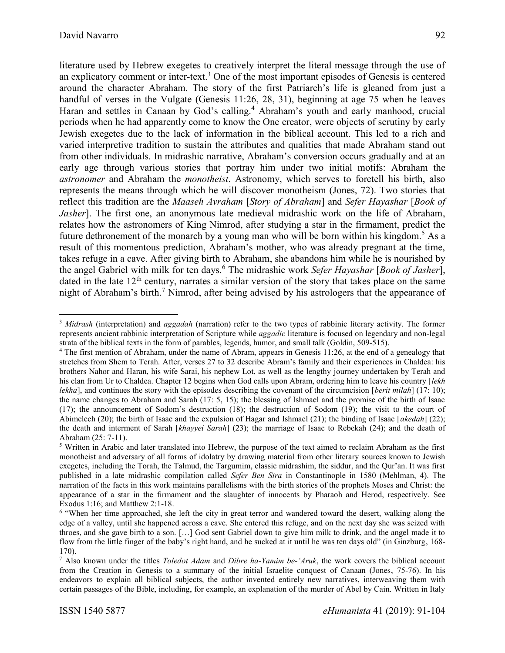$\overline{\phantom{a}}$ 

literature used by Hebrew exegetes to creatively interpret the literal message through the use of an explicatory comment or inter-text.<sup>3</sup> One of the most important episodes of Genesis is centered around the character Abraham. The story of the first Patriarch's life is gleaned from just a handful of verses in the Vulgate (Genesis 11:26, 28, 31), beginning at age 75 when he leaves Haran and settles in Canaan by God's calling. <sup>4</sup> Abraham's youth and early manhood, crucial periods when he had apparently come to know the One creator, were objects of scrutiny by early Jewish exegetes due to the lack of information in the biblical account. This led to a rich and varied interpretive tradition to sustain the attributes and qualities that made Abraham stand out from other individuals. In midrashic narrative, Abraham's conversion occurs gradually and at an early age through various stories that portray him under two initial motifs: Abraham the *astronomer* and Abraham the *monotheist*. Astronomy, which serves to foretell his birth, also represents the means through which he will discover monotheism (Jones, 72). Two stories that reflect this tradition are the *Maaseh Avraham* [*Story of Abraham*] and *Sefer Hayashar* [*Book of Jasher*]. The first one, an anonymous late medieval midrashic work on the life of Abraham, relates how the astronomers of King Nimrod, after studying a star in the firmament, predict the future dethronement of the monarch by a young man who will be born within his kingdom.<sup>5</sup> As a result of this momentous prediction, Abraham's mother, who was already pregnant at the time, takes refuge in a cave. After giving birth to Abraham, she abandons him while he is nourished by the angel Gabriel with milk for ten days. <sup>6</sup> The midrashic work *Sefer Hayashar* [*Book of Jasher*], dated in the late  $12<sup>th</sup>$  century, narrates a similar version of the story that takes place on the same night of Abraham's birth.<sup>7</sup> Nimrod, after being advised by his astrologers that the appearance of

<sup>3</sup> *Midrash* (interpretation) and *[aggadah](https://jwa.org/encyclopedia/glossary/aggadah)* (narration) refer to the two types of rabbinic literary activity. The former represents ancient rabbinic interpretation of Scripture while *aggadic* literature is focused on legendary and non-legal strata of the biblical texts in the form of parables, legends, humor, and small talk (Goldin, 509-515).

<sup>4</sup> The first mention of Abraham, under the name of Abram, appears in Genesis 11:26, at the end of a genealogy that stretches from Shem to Terah. After, verses 27 to 32 describe Abram's family and their experiences in Chaldea: his brothers Nahor and Haran, his wife Sarai, his nephew Lot, as well as the lengthy journey undertaken by Terah and his clan from Ur to Chaldea. Chapter 12 begins when God calls upon Abram, ordering him to leave his country [*lekh lekha*], and continues the story with the episodes describing the covenant of the circumcision [*berit milah*] (17: 10); the name changes to Abraham and Sarah (17: 5, 15); the blessing of Ishmael and the promise of the birth of Isaac (17); the announcement of Sodom's destruction (18); the destruction of Sodom (19); the visit to the court of Abimelech (20); the birth of Isaac and the expulsion of Hagar and Ishmael (21); the binding of Isaac [*akedah*] (22); the death and interment of Sarah [*khayyei Sarah*] (23); the marriage of Isaac to Rebekah (24); and the death of Abraham (25: 7-11).

<sup>5</sup> Written in Arabic and later translated into Hebrew, the purpose of the text aimed to reclaim Abraham as the first monotheist and adversary of all forms of idolatry by drawing material from other literary sources known to Jewish exegetes, including the Torah, the Talmud, the Targumim, classic midrashim, the siddur, and the Qur'an. It was first published in a late midrashic compilation called *Sefer Ben Sira* in Constantinople in 1580 (Mehlman, 4). The narration of the facts in this work maintains parallelisms with the birth stories of the prophets Moses and Christ: the appearance of a star in the firmament and the slaughter of innocents by Pharaoh and Herod, respectively. See Exodus 1:16; and Matthew 2:1-18.

<sup>6</sup> "When her time approached, she left the city in great terror and wandered toward the desert, walking along the edge of a valley, until she happened across a cave. She entered this refuge, and on the next day she was seized with throes, and she gave birth to a son. […] God sent Gabriel down to give him milk to drink, and the angel made it to flow from the little finger of the baby's right hand, and he sucked at it until he was ten days old" (in Ginzburg, 168- 170).

<sup>7</sup> Also known under the titles *Toledot Adam* and *Dibre ha-Yamim be-'Aruk*, the work covers the biblical account from the Creation in Genesis to a summary of the initial Israelite conquest of Canaan (Jones, 75-76). In his endeavors to explain all biblical subjects, the author invented entirely new narratives, interweaving them with certain passages of the Bible, including, for example, an explanation of the murder of Abel by Cain. Written in Italy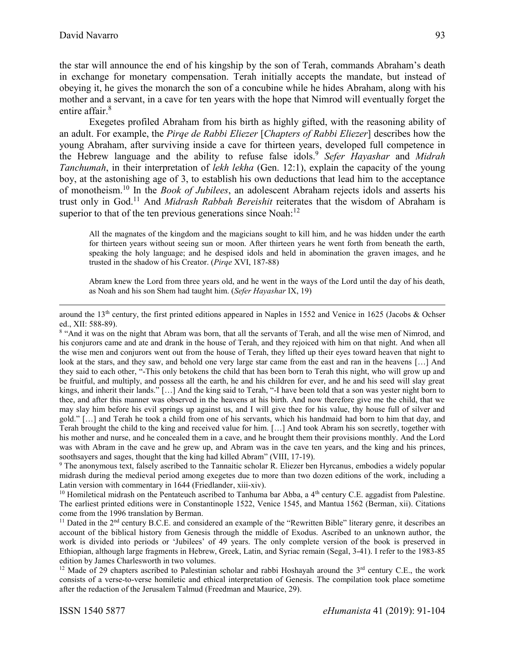$\overline{\phantom{a}}$ 

93

the star will announce the end of his kingship by the son of Terah, commands Abraham's death in exchange for monetary compensation. Terah initially accepts the mandate, but instead of obeying it, he gives the monarch the son of a concubine while he hides Abraham, along with his mother and a servant, in a cave for ten years with the hope that Nimrod will eventually forget the entire affair. 8

Exegetes profiled Abraham from his birth as highly gifted, with the reasoning ability of an adult. For example, the *Pirqe de Rabbi Eliezer* [*Chapters of Rabbi Eliezer*] describes how the young Abraham, after surviving inside a cave for thirteen years, developed full competence in the Hebrew language and the ability to refuse false idols. 9 *Sefer Hayashar* and *Midrah Tanchumah*, in their interpretation of *lekh lekha* (Gen. 12:1), explain the capacity of the young boy, at the astonishing age of 3, to establish his own deductions that lead him to the acceptance of monotheism. <sup>10</sup> In the *Book of Jubilees*, an adolescent Abraham rejects idols and asserts his trust only in God.<sup>11</sup> And *Midrash Rabbah Bereishit* reiterates that the wisdom of Abraham is superior to that of the ten previous generations since Noah:<sup>12</sup>

All the magnates of the kingdom and the magicians sought to kill him, and he was hidden under the earth for thirteen years without seeing sun or moon. After thirteen years he went forth from beneath the earth, speaking the holy language; and he despised idols and held in abomination the graven images, and he trusted in the shadow of his Creator. (*Pirqe* XVI, 187-88)

Abram knew the Lord from three years old, and he went in the ways of the Lord until the day of his death, as Noah and his son Shem had taught him. (*Sefer Hayashar* IX, 19)

<sup>9</sup> The anonymous text, falsely ascribed to the Tannaitic scholar R. Eliezer ben Hyrcanus, embodies a widely popular midrash during the medieval period among exegetes due to more than two dozen editions of the work, including a Latin version with commentary in 1644 (Friedlander, xiii-xiv).

<sup>10</sup> Homiletical midrash on the Pentateuch ascribed to Tanhuma bar Abba, a 4<sup>th</sup> century C.E. aggadist from Palestine. The earliest printed editions were in Constantinople 1522, Venice 1545, and Mantua 1562 (Berman, xii). Citations come from the 1996 translation by Berman.

<sup>11</sup> Dated in the 2<sup>nd</sup> century B.C.E. and considered an example of the "Rewritten Bible" literary genre, it describes an account of the biblical history from Genesis through the middle of Exodus. Ascribed to an unknown author, the work is divided into periods or 'Jubilees' of 49 years. The only complete version of the book is preserved in Ethiopian, although large fragments in Hebrew, Greek, Latin, and Syriac remain (Segal, 3-41). I refer to the 1983-85 edition by James Charlesworth in two volumes.

<sup>12</sup> Made of 29 chapters ascribed to Palestinian scholar and rabbi Hoshayah around the  $3<sup>rd</sup>$  century C.E., the work consists of a verse-to-verse homiletic and ethical interpretation of Genesis. The compilation took place sometime after the redaction of the Jerusalem Talmud (Freedman and Maurice, 29).

around the 13th century, the first printed editions appeared in Naples in 1552 and Venice in 1625 (Jacobs & Ochser ed., XII: 588-89).

<sup>&</sup>lt;sup>8</sup> "And it was on the night that Abram was born, that all the servants of Terah, and all the wise men of Nimrod, and his conjurors came and ate and drank in the house of Terah, and they rejoiced with him on that night. And when all the wise men and conjurors went out from the house of Terah, they lifted up their eyes toward heaven that night to look at the stars, and they saw, and behold one very large star came from the east and ran in the heavens [...] And they said to each other, "-This only betokens the child that has been born to Terah this night, who will grow up and be fruitful, and multiply, and possess all the earth, he and his children for ever, and he and his seed will slay great kings, and inherit their lands." […] And the king said to Terah, "-I have been told that a son was yester night born to thee, and after this manner was observed in the heavens at his birth. And now therefore give me the child, that we may slay him before his evil springs up against us, and I will give thee for his value, thy house full of silver and gold." […] and Terah he took a child from one of his servants, which his handmaid had born to him that day, and Terah brought the child to the king and received value for him. […] And took Abram his son secretly, together with his mother and nurse, and he concealed them in a cave, and he brought them their provisions monthly. And the Lord was with Abram in the cave and he grew up, and Abram was in the cave ten years, and the king and his princes, soothsayers and sages, thought that the king had killed Abram" (VIII, 17-19).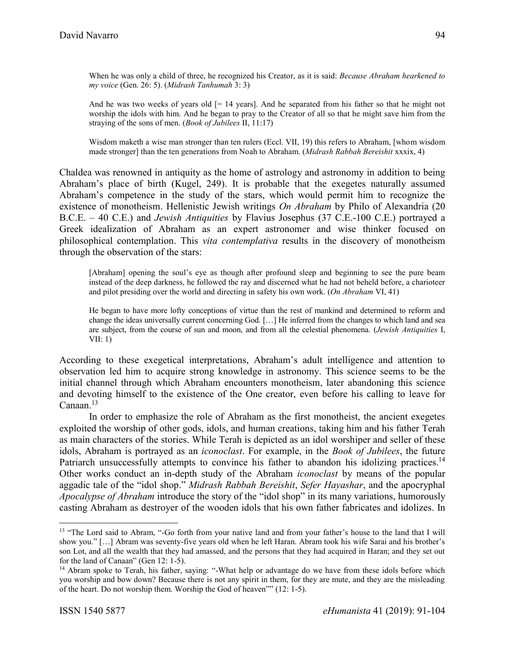When he was only a child of three, he recognized his Creator, as it is said: *Because Abraham hearkened to my voice* (Gen. 26: 5). (*Midrash Tanhumah* 3: 3)

And he was two weeks of years old  $[= 14 \text{ years}]$ . And he separated from his father so that he might not worship the idols with him. And he began to pray to the Creator of all so that he might save him from the straying of the sons of men. (*Book of Jubilees* II, 11:17)

Wisdom maketh a wise man stronger than ten rulers (Eccl. VII, 19) this refers to Abraham, [whom wisdom made stronger] than the ten generations from Noah to Abraham. (*Midrash Rabbah Bereishit* xxxix, 4)

Chaldea was renowned in antiquity as the home of astrology and astronomy in addition to being Abraham's place of birth (Kugel, 249). It is probable that the exegetes naturally assumed Abraham's competence in the study of the stars, which would permit him to recognize the existence of monotheism. Hellenistic Jewish writings *On Abraham* by Philo of Alexandria (20 B.C.E. – 40 C.E.) and *Jewish Antiquities* by Flavius Josephus (37 C.E.-100 C.E.) portrayed a Greek idealization of Abraham as an expert astronomer and wise thinker focused on philosophical contemplation. This *vita contemplativa* results in the discovery of monotheism through the observation of the stars:

[Abraham] opening the soul's eye as though after profound sleep and beginning to see the pure beam instead of the deep darkness, he followed the ray and discerned what he had not beheld before, a charioteer and pilot presiding over the world and directing in safety his own work. (*On Abraham* VI, 41)

He began to have more lofty conceptions of virtue than the rest of mankind and determined to reform and change the ideas universally current concerning God. […] He inferred from the changes to which land and sea are subject, from the course of sun and moon, and from all the celestial phenomena. (*Jewish Antiquities* I, VII: 1)

According to these exegetical interpretations, Abraham's adult intelligence and attention to observation led him to acquire strong knowledge in astronomy. This science seems to be the initial channel through which Abraham encounters monotheism, later abandoning this science and devoting himself to the existence of the One creator, even before his calling to leave for Canaan.<sup>13</sup>

In order to emphasize the role of Abraham as the first monotheist, the ancient exegetes exploited the worship of other gods, idols, and human creations, taking him and his father Terah as main characters of the stories. While Terah is depicted as an idol worshiper and seller of these idols, Abraham is portrayed as an *iconoclast*. For example, in the *Book of Jubilees*, the future Patriarch unsuccessfully attempts to convince his father to abandon his idolizing practices.<sup>14</sup> Other works conduct an in-depth study of the Abraham *iconoclast* by means of the popular aggadic tale of the "idol shop." *Midrash Rabbah Bereishit*, *Sefer Hayashar*, and the apocryphal *Apocalypse of Abraham* introduce the story of the "idol shop" in its many variations, humorously casting Abraham as destroyer of the wooden idols that his own father fabricates and idolizes. In

 $\overline{a}$ 

<sup>&</sup>lt;sup>13</sup> "The Lord said to Abram, "-Go forth from your native land and from your father's house to the land that I will show you." […] Abram was seventy-five years old when he left Haran. Abram took his wife Sarai and his brother's son Lot, and all the wealth that they had amassed, and the persons that they had acquired in Haran; and they set out for the land of Canaan" (Gen 12: 1-5).

<sup>&</sup>lt;sup>14</sup> Abram spoke to Terah, his father, saying: "-What help or advantage do we have from these idols before which you worship and bow down? Because there is not any spirit in them, for they are mute, and they are the misleading of the heart. Do not worship them. Worship the God of heaven"" (12: 1-5).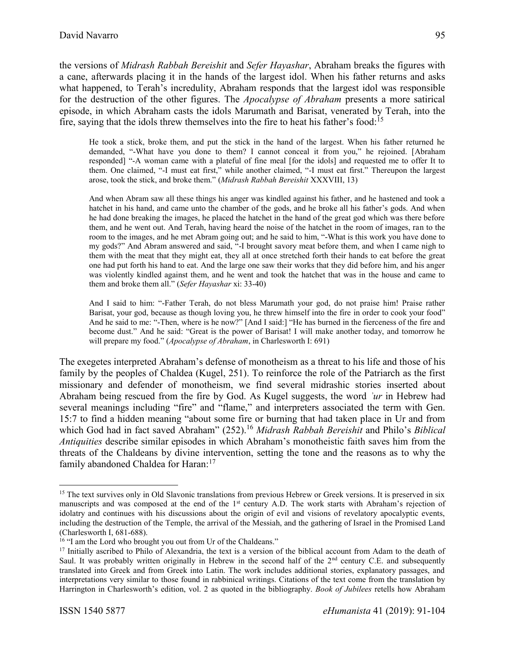the versions of *Midrash Rabbah Bereishit* and *Sefer Hayashar*, Abraham breaks the figures with a cane, afterwards placing it in the hands of the largest idol. When his father returns and asks what happened, to Terah's incredulity, Abraham responds that the largest idol was responsible for the destruction of the other figures. The *Apocalypse of Abraham* presents a more satirical episode, in which Abraham casts the idols Marumath and Barisat, venerated by Terah, into the fire, saying that the idols threw themselves into the fire to heat his father's food:<sup>15</sup>

He took a stick, broke them, and put the stick in the hand of the largest. When his father returned he demanded, "-What have you done to them? I cannot conceal it from you," he rejoined. [Abraham responded] "-A woman came with a plateful of fine meal [for the idols] and requested me to offer It to them. One claimed, "-I must eat first," while another claimed, "-I must eat first." Thereupon the largest arose, took the stick, and broke them." (*Midrash Rabbah Bereishit* XXXVIII, 13)

And when Abram saw all these things his anger was kindled against his father, and he hastened and took a hatchet in his hand, and came unto the chamber of the gods, and he broke all his father's gods. And when he had done breaking the images, he placed the hatchet in the hand of the great god which was there before them, and he went out. And Terah, having heard the noise of the hatchet in the room of images, ran to the room to the images, and he met Abram going out; and he said to him, "-What is this work you have done to my gods?" And Abram answered and said, "-I brought savory meat before them, and when I came nigh to them with the meat that they might eat, they all at once stretched forth their hands to eat before the great one had put forth his hand to eat. And the large one saw their works that they did before him, and his anger was violently kindled against them, and he went and took the hatchet that was in the house and came to them and broke them all." (*Sefer Hayashar* xi: 33-40)

And I said to him: "-Father Terah, do not bless Marumath your god, do not praise him! Praise rather Barisat, your god, because as though loving you, he threw himself into the fire in order to cook your food" And he said to me: "-Then, where is he now?" [And I said:] "He has burned in the fierceness of the fire and become dust." And he said: "Great is the power of Barisat! I will make another today, and tomorrow he will prepare my food." (*Apocalypse of Abraham*, in Charlesworth I: 691)

The exegetes interpreted Abraham's defense of monotheism as a threat to his life and those of his family by the peoples of Chaldea (Kugel, 251). To reinforce the role of the Patriarch as the first missionary and defender of monotheism, we find several midrashic stories inserted about Abraham being rescued from the fire by God. As Kugel suggests, the word *ʾur* in Hebrew had several meanings including "fire" and "flame," and interpreters associated the term with Gen. 15:7 to find a hidden meaning "about some fire or burning that had taken place in Ur and from which God had in fact saved Abraham" (252).<sup>16</sup> *Midrash Rabbah Bereishit* and Philo's *Biblical Antiquities* describe similar episodes in which Abraham's monotheistic faith saves him from the threats of the Chaldeans by divine intervention, setting the tone and the reasons as to why the family abandoned Chaldea for Haran:<sup>17</sup>

 $\overline{\phantom{a}}$ 

<sup>&</sup>lt;sup>15</sup> The text survives only in Old Slavonic translations from previous Hebrew or Greek versions. It is preserved in six manuscripts and was composed at the end of the  $1<sup>st</sup>$  century A.D. The work starts with Abraham's rejection of idolatry and continues with his discussions about the origin of evil and visions of revelatory apocalyptic events, including the destruction of the Temple, the arrival of the Messiah, and the gathering of Israel in the Promised Land (Charlesworth I, 681-688).

<sup>&</sup>lt;sup>16</sup> "I am the Lord who brought you out from Ur of the Chaldeans."

<sup>&</sup>lt;sup>17</sup> Initially ascribed to Philo of Alexandria, the text is a version of the biblical account from Adam to the death of Saul. It was probably written originally in Hebrew in the second half of the  $2<sup>nd</sup>$  century C.E. and subsequently translated into Greek and from Greek into Latin. The work includes additional stories, explanatory passages, and interpretations very similar to those found in rabbinical writings. Citations of the text come from the translation by Harrington in Charlesworth's edition, vol. 2 as quoted in the bibliography. *Book of Jubilees* retells how Abraham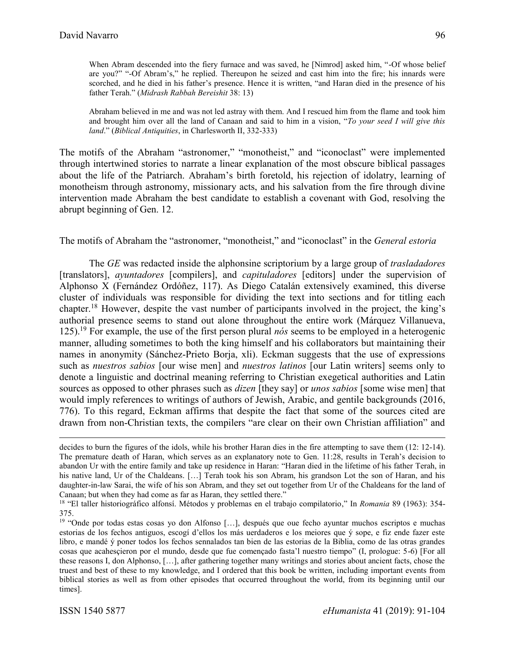When Abram descended into the fiery furnace and was saved, he [Nimrod] asked him, "-Of whose belief are you?" "-Of Abram's," he replied. Thereupon he seized and cast him into the fire; his innards were scorched, and he died in his father's presence. Hence it is written, "and Haran died in the presence of his father Terah." (*Midrash Rabbah Bereishit* 38: 13)

Abraham believed in me and was not led astray with them. And I rescued him from the flame and took him and brought him over all the land of Canaan and said to him in a vision, "*To your seed I will give this land*." (*Biblical Antiquities*, in Charlesworth II, 332-333)

The motifs of the Abraham "astronomer," "monotheist," and "iconoclast" were implemented through intertwined stories to narrate a linear explanation of the most obscure biblical passages about the life of the Patriarch. Abraham's birth foretold, his rejection of idolatry, learning of monotheism through astronomy, missionary acts, and his salvation from the fire through divine intervention made Abraham the best candidate to establish a covenant with God, resolving the abrupt beginning of Gen. 12.

## The motifs of Abraham the "astronomer, "monotheist," and "iconoclast" in the *General estoria*

The *GE* was redacted inside the alphonsine scriptorium by a large group of *trasladadores*  [translators], *ayuntadores* [compilers], and *capituladores* [editors] under the supervision of Alphonso X (Fernández Ordóñez, 117). As Diego Catalán extensively examined, this diverse cluster of individuals was responsible for dividing the text into sections and for titling each chapter. <sup>18</sup> However, despite the vast number of participants involved in the project, the king's authorial presence seems to stand out alone throughout the entire work (Márquez Villanueva, 125).<sup>19</sup> For example, the use of the first person plural *nós* seems to be employed in a heterogenic manner, alluding sometimes to both the king himself and his collaborators but maintaining their names in anonymity (Sánchez-Prieto Borja, xli). Eckman suggests that the use of expressions such as *nuestros sabios* [our wise men] and *nuestros latinos* [our Latin writers] seems only to denote a linguistic and doctrinal meaning referring to Christian exegetical authorities and Latin sources as opposed to other phrases such as *dizen* [they say] or *unos sabios* [some wise men] that would imply references to writings of authors of Jewish, Arabic, and gentile backgrounds (2016, 776). To this regard, Eckman affirms that despite the fact that some of the sources cited are drawn from non-Christian texts, the compilers "are clear on their own Christian affiliation" and

l

decides to burn the figures of the idols, while his brother Haran dies in the fire attempting to save them (12: 12-14). The premature death of Haran, which serves as an explanatory note to Gen. 11:28, results in Terah's decision to abandon Ur with the entire family and take up residence in Haran: "Haran died in the lifetime of his father Terah, in his native land, Ur of the Chaldeans. [...] Terah took his son Abram, his grandson Lot the son of Haran, and his daughter-in-law Sarai, the wife of his son Abram, and they set out together from Ur of the Chaldeans for the land of Canaan; but when they had come as far as Haran, they settled there."

<sup>18</sup> "El taller historiográfico alfonsí. Métodos y problemas en el trabajo compilatorio," In *Romania* 89 (1963): 354- 375.

<sup>&</sup>lt;sup>19</sup> "Onde por todas estas cosas yo don Alfonso [...], después que oue fecho ayuntar muchos escriptos e muchas estorias de los fechos antiguos, escogí d'ellos los más uerdaderos e los meiores que ý sope, e fiz ende fazer este libro, e mandé ý poner todos los fechos sennalados tan bien de las estorias de la Biblia, como de las otras grandes cosas que acahesçieron por el mundo, desde que fue començado fasta'l nuestro tiempo" (I, prologue: 5-6) [For all these reasons I, don Alphonso, […], after gathering together many writings and stories about ancient facts, chose the truest and best of these to my knowledge, and I ordered that this book be written, including important events from biblical stories as well as from other episodes that occurred throughout the world, from its beginning until our times].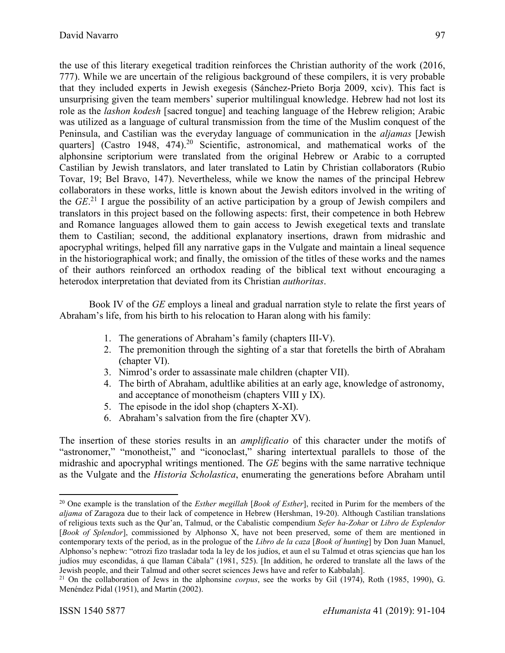the use of this literary exegetical tradition reinforces the Christian authority of the work (2016, 777). While we are uncertain of the religious background of these compilers, it is very probable that they included experts in Jewish exegesis (Sánchez-Prieto Borja 2009, xciv). This fact is unsurprising given the team members' superior multilingual knowledge. Hebrew had not lost its role as the *lashon kodesh* [sacred tongue] and teaching language of the Hebrew religion; Arabic was utilized as a language of cultural transmission from the time of the Muslim conquest of the Peninsula, and Castilian was the everyday language of communication in the *aljamas* [Jewish quarters] (Castro 1948, 474).<sup>20</sup> Scientific, astronomical, and mathematical works of the alphonsine scriptorium were translated from the original Hebrew or Arabic to a corrupted Castilian by Jewish translators, and later translated to Latin by Christian collaborators (Rubio Tovar, 19; Bel Bravo, 147). Nevertheless, while we know the names of the principal Hebrew collaborators in these works, little is known about the Jewish editors involved in the writing of the *GE*. <sup>21</sup> I argue the possibility of an active participation by a group of Jewish compilers and translators in this project based on the following aspects: first, their competence in both Hebrew and Romance languages allowed them to gain access to Jewish exegetical texts and translate them to Castilian; second, the additional explanatory insertions, drawn from midrashic and apocryphal writings, helped fill any narrative gaps in the Vulgate and maintain a lineal sequence in the historiographical work; and finally, the omission of the titles of these works and the names of their authors reinforced an orthodox reading of the biblical text without encouraging a heterodox interpretation that deviated from its Christian *authoritas*.

Book IV of the *GE* employs a lineal and gradual narration style to relate the first years of Abraham's life, from his birth to his relocation to Haran along with his family:

- 1. The generations of Abraham's family (chapters III-V).
- 2. The premonition through the sighting of a star that foretells the birth of Abraham (chapter VI).
- 3. Nimrod's order to assassinate male children (chapter VII).
- 4. The birth of Abraham, adultlike abilities at an early age, knowledge of astronomy, and acceptance of monotheism (chapters VIII y IX).
- 5. The episode in the idol shop (chapters X-XI).
- 6. Abraham's salvation from the fire (chapter XV).

The insertion of these stories results in an *amplificatio* of this character under the motifs of "astronomer," "monotheist," and "iconoclast," sharing intertextual parallels to those of the midrashic and apocryphal writings mentioned. The *GE* begins with the same narrative technique as the Vulgate and the *Historia Scholastica*, enumerating the generations before Abraham until

l

<sup>20</sup> One example is the translation of the *Esther megillah* [*Book of Esther*], recited in Purim for the members of the *aljama* of Zaragoza due to their lack of competence in Hebrew (Hershman, 19-20). Although Castilian translations of religious texts such as the Qur'an, Talmud, or the Cabalistic compendium *Sefer ha-Zohar* or *Libro de Esplendor* [*Book of Splendor*], commissioned by Alphonso X, have not been preserved, some of them are mentioned in contemporary texts of the period, as in the prologue of the *Libro de la caza* [*Book of hunting*] by Don Juan Manuel, Alphonso's nephew: "otrozi fizo trasladar toda la ley de los judíos, et aun el su Talmud et otras sçiencias que han los judíos muy escondidas, á que llaman Cábala" (1981, 525). [In addition, he ordered to translate all the laws of the Jewish people, and their Talmud and other secret sciences Jews have and refer to Kabbalah].

<sup>21</sup> On the collaboration of Jews in the alphonsine *corpus*, see the works by Gil (1974), Roth (1985, 1990), G. Menéndez Pidal (1951), and Martin (2002).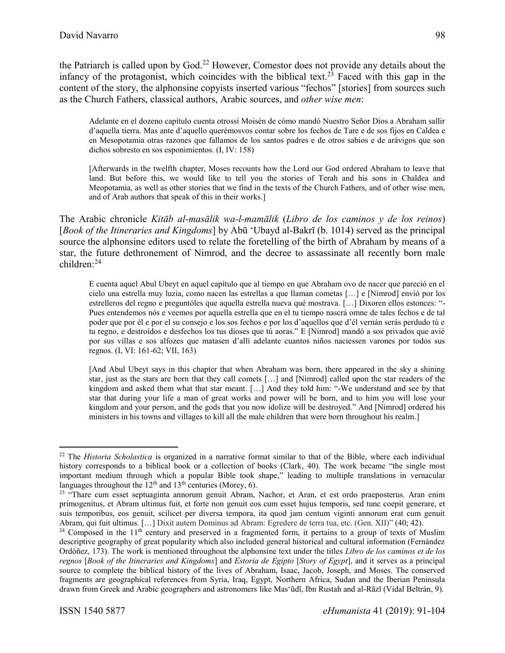the Patriarch is called upon by God.<sup>22</sup> However, Comestor does not provide any details about the infancy of the protagonist, which coincides with the biblical text.<sup>23</sup> Faced with this gap in the content of the story, the alphonsine copyists inserted various "fechos" [stories] from sources such as the Church Fathers, classical authors, Arabic sources, and *other wise men*:

Adelante en el dozeno capítulo cuenta otrossí Moisén de cómo mandó Nuestro Señor Dios a Abraham sallir d'aquella tierra. Mas ante d'aquello querémosvos contar sobre los fechos de Tare e de sos fijos en Caldea e en Mesopotamia otras razones que fallamos de los santos padres e de otros sabios e de arávigos que son dichos sobresto en sos esponimientos. (I, IV: 158)

[Afterwards in the twelfth chapter, Moses recounts how the Lord our God ordered Abraham to leave that land. But before this, we would like to tell you the stories of Terah and his sons in Chaldea and Meopotamia, as well as other stories that we find in the texts of the Church Fathers, and of other wise men, and of Arab authors that speak of this in their works.]

The Arabic chronicle *Kitāb al-masālik wa-l-mamālik* (*Libro de los caminos y de los reinos*) [*Book of the Itineraries and Kingdoms*] by Abū ʻUbayd al-Bakrī (b. 1014) served as the principal source the alphonsine editors used to relate the foretelling of the birth of Abraham by means of a star, the future dethronement of Nimrod, and the decree to assassinate all recently born male children: 24

E cuenta aquel Abul Ubeyt en aquel capítulo que al tiempo en que Abraham ovo de nacer que pareció en el cielo una estrella muy luzia, como nacen las estrellas a que llaman cometas […] e [Nimrod] envió por los estrelleros del regno e preguntóles que aquella estrella nueva qué mostrava. […] Dixoren ellos estonces: "- Pues entendemos nós e veemos por aquella estrella que en el tu tiempo nascrá omne de tales fechos e de tal poder que por él e por el su consejo e los sos fechos e por los d'aquellos que d'él vernán serás perdudo tú e tu regno, e destroídos e desfechos los tus dioses que tú aoras." E [Nimrod] mandó a sos privados que avié por sus villas e sos alfozes que matasen d'allí adelante cuantos niños naciessen varones por todos sus regnos. (I, VI: 161-62; VII, 163)

[And Abul Ubeyt says in this chapter that when Abraham was born, there appeared in the sky a shining star, just as the stars are born that they call comets […] and [Nimrod] called upon the star readers of the kingdom and asked them what that star meant. […] And they told him: "-We understand and see by that star that during your life a man of great works and power will be born, and to him you will lose your kingdom and your person, and the gods that you now idolize will be destroyed." And [Nimrod] ordered his ministers in his towns and villages to kill all the male children that were born throughout his realm.]

 $\overline{a}$ 

<sup>22</sup> The *Historia Scholastica* is organized in a narrative format similar to that of the Bible, where each individual history corresponds to a biblical book or a collection of books (Clark, 40). The work became "the single most important medium through which a popular Bible took shape," leading to multiple translations in vernacular languages throughout the  $12<sup>th</sup>$  and  $13<sup>th</sup>$  centuries (Morey, 6).

<sup>&</sup>lt;sup>23</sup> "Thare cum esset septuaginta annorum genuit Abram, Nachor, et Aran, et est ordo praeposterus. Aran enim primogenitus, et Abram ultimus fuit, et forte non genuit eos cum esset hujus temporis, sed tunc coepit generare, et suis temporibus, eos genuit, scilicet per diversa tempora, ita quod jam centum viginti annorum erat cum genuit Abram, qui fuit ultimus. […] Dixit autem Dominus ad Abram: Egredere de terra tua, etc. (Gen. XII)" (40; 42).

<sup>&</sup>lt;sup>24</sup> Composed in the 11<sup>th</sup> century and preserved in a fragmented form, it pertains to a group of texts of Muslim descriptive geography of great popularity which also included general historical and cultural information (Fernández Ordóñez, 173). The work is mentioned throughout the alphonsine text under the titles *Libro de los caminos et de los regnos* [*Book of the Itineraries and Kingdoms*] and *Estoria de Egipto* [*Story of Egypt*], and it serves as a principal source to complete the biblical history of the lives of Abraham, Isaac, Jacob, Joseph, and Moses. The conserved fragments are geographical references from Syria, Iraq, Egypt, Northern Africa, Sudan and the Iberian Peninsula drawn from Greek and Arabic geographers and astronomers like Masʻūdī, Ibn Rustah and al-Rāzī (Vidal Beltrán, 9).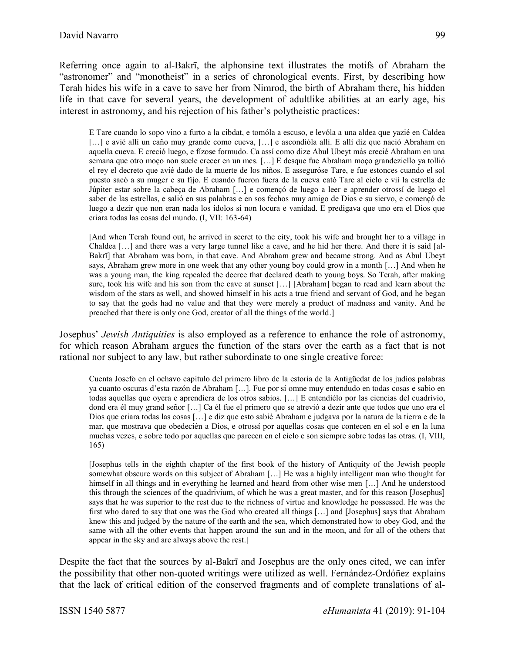Referring once again to al-Bakrī, the alphonsine text illustrates the motifs of Abraham the "astronomer" and "monotheist" in a series of chronological events. First, by describing how Terah hides his wife in a cave to save her from Nimrod, the birth of Abraham there, his hidden life in that cave for several years, the development of adultlike abilities at an early age, his interest in astronomy, and his rejection of his father's polytheistic practices:

E Tare cuando lo sopo vino a furto a la cibdat, e tomóla a escuso, e levóla a una aldea que yazié en Caldea [...] e avié allí un caño muy grande como cueva, [...] e ascondióla allí. E allí diz que nació Abraham en aquella cueva. E creció luego, e fízose formudo. Ca assí como dize Abul Ubeyt más crecié Abraham en una semana que otro moço non suele crecer en un mes. […] E desque fue Abraham moço grandeziello ya tollió el rey el decreto que avié dado de la muerte de los niños. E asseguróse Tare, e fue estonces cuando el sol puesto sacó a su muger e su fijo. E cuando fueron fuera de la cueva cató Tare al cielo e vií la estrella de Júpiter estar sobre la cabeça de Abraham […] e començó de luego a leer e aprender otrossí de luego el saber de las estrellas, e salió en sus palabras e en sos fechos muy amigo de Dios e su siervo, e començó de luego a dezir que non eran nada los ídolos si non locura e vanidad. E predigava que uno era el Dios que criara todas las cosas del mundo. (I, VII: 163-64)

[And when Terah found out, he arrived in secret to the city, took his wife and brought her to a village in Chaldea […] and there was a very large tunnel like a cave, and he hid her there. And there it is said [al-Bakrī] that Abraham was born, in that cave. And Abraham grew and became strong. And as Abul Ubeyt says, Abraham grew more in one week that any other young boy could grow in a month […] And when he was a young man, the king repealed the decree that declared death to young boys. So Terah, after making sure, took his wife and his son from the cave at sunset […] [Abraham] began to read and learn about the wisdom of the stars as well, and showed himself in his acts a true friend and servant of God, and he began to say that the gods had no value and that they were merely a product of madness and vanity. And he preached that there is only one God, creator of all the things of the world.]

Josephus' *Jewish Antiquities* is also employed as a reference to enhance the role of astronomy, for which reason Abraham argues the function of the stars over the earth as a fact that is not rational nor subject to any law, but rather subordinate to one single creative force:

Cuenta Josefo en el ochavo capítulo del primero libro de la estoria de la Antigüedat de los judíos palabras ya cuanto oscuras d'esta razón de Abraham […]. Fue por sí omne muy entendudo en todas cosas e sabio en todas aquellas que oyera e aprendiera de los otros sabios. […] E entendiélo por las ciencias del cuadrivio, dond era él muy grand señor […] Ca él fue el primero que se atrevió a dezir ante que todos que uno era el Dios que criara todas las cosas […] e diz que esto sabié Abraham e judgava por la natura de la tierra e de la mar, que mostrava que obedecién a Dios, e otrossí por aquellas cosas que contecen en el sol e en la luna muchas vezes, e sobre todo por aquellas que parecen en el cielo e son siempre sobre todas las otras. (I, VIII, 165)

[Josephus tells in the eighth chapter of the first book of the history of Antiquity of the Jewish people somewhat obscure words on this subject of Abraham […] He was a highly intelligent man who thought for himself in all things and in everything he learned and heard from other wise men [...] And he understood this through the sciences of the quadrivium, of which he was a great master, and for this reason [Josephus] says that he was superior to the rest due to the richness of virtue and knowledge he possessed. He was the first who dared to say that one was the God who created all things […] and [Josephus] says that Abraham knew this and judged by the nature of the earth and the sea, which demonstrated how to obey God, and the same with all the other events that happen around the sun and in the moon, and for all of the others that appear in the sky and are always above the rest.]

Despite the fact that the sources by al-Bakrī and Josephus are the only ones cited, we can infer the possibility that other non-quoted writings were utilized as well. Fernández-Ordóñez explains that the lack of critical edition of the conserved fragments and of complete translations of al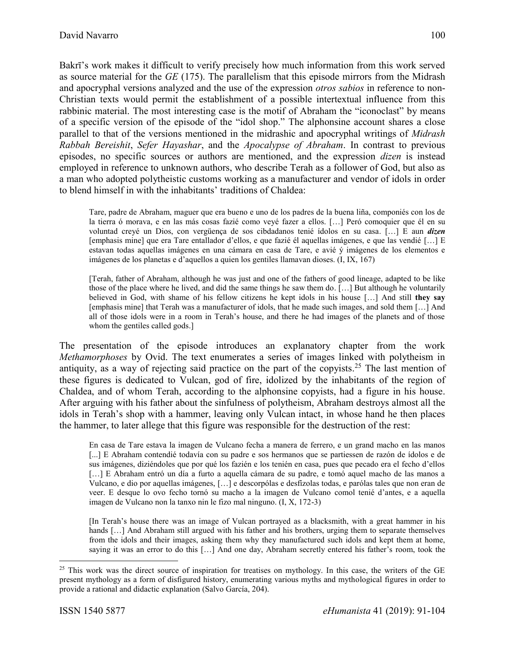Bakrī's work makes it difficult to verify precisely how much information from this work served as source material for the *GE* (175). The parallelism that this episode mirrors from the Midrash and apocryphal versions analyzed and the use of the expression *otros sabios* in reference to non-Christian texts would permit the establishment of a possible intertextual influence from this rabbinic material. The most interesting case is the motif of Abraham the "iconoclast" by means of a specific version of the episode of the "idol shop." The alphonsine account shares a close parallel to that of the versions mentioned in the midrashic and apocryphal writings of *Midrash Rabbah Bereishit*, *Sefer Hayashar*, and the *Apocalypse of Abraham*. In contrast to previous episodes, no specific sources or authors are mentioned, and the expression *dizen* is instead employed in reference to unknown authors, who describe Terah as a follower of God, but also as a man who adopted polytheistic customs working as a manufacturer and vendor of idols in order to blend himself in with the inhabitants' traditions of Chaldea:

Tare, padre de Abraham, maguer que era bueno e uno de los padres de la buena liña, componiés con los de la tierra ó morava, e en las más cosas fazié como veyé fazer a ellos. […] Peró comoquier que él en su voluntad creyé un Dios, con vergüença de sos cibdadanos tenié ídolos en su casa. […] E aun *dizen* [emphasis mine] que era Tare entallador d'ellos, e que fazié él aquellas imágenes, e que las vendié […] E estavan todas aquellas imágenes en una cámara en casa de Tare, e avié ý imágenes de los elementos e imágenes de los planetas e d'aquellos a quien los gentiles llamavan dioses. (I, IX, 167)

[Terah, father of Abraham, although he was just and one of the fathers of good lineage, adapted to be like those of the place where he lived, and did the same things he saw them do. […] But although he voluntarily believed in God, with shame of his fellow citizens he kept idols in his house […] And still **they say** [emphasis mine] that Terah was a manufacturer of idols, that he made such images, and sold them […] And all of those idols were in a room in Terah's house, and there he had images of the planets and of those whom the gentiles called gods.]

The presentation of the episode introduces an explanatory chapter from the work *Methamorphoses* by Ovid. The text enumerates a series of images linked with polytheism in antiquity, as a way of rejecting said practice on the part of the copyists.<sup>25</sup> The last mention of these figures is dedicated to Vulcan, god of fire, idolized by the inhabitants of the region of Chaldea, and of whom Terah, according to the alphonsine copyists, had a figure in his house. After arguing with his father about the sinfulness of polytheism, Abraham destroys almost all the idols in Terah's shop with a hammer, leaving only Vulcan intact, in whose hand he then places the hammer, to later allege that this figure was responsible for the destruction of the rest:

En casa de Tare estava la imagen de Vulcano fecha a manera de ferrero, e un grand macho en las manos [...] E Abraham contendié todavía con su padre e sos hermanos que se partiessen de razón de ídolos e de sus imágenes, diziéndoles que por qué los fazién e los tenién en casa, pues que pecado era el fecho d'ellos [...] E Abraham entró un día a furto a aquella cámara de su padre, e tomó aquel macho de las manos a Vulcano, e dio por aquellas imágenes, […] e descorpólas e desfízolas todas, e parólas tales que non eran de veer. E desque lo ovo fecho tornó su macho a la imagen de Vulcano comol tenié d'antes, e a aquella imagen de Vulcano non la tanxo nin le fizo mal ninguno. (I, X, 172-3)

[In Terah's house there was an image of Vulcan portrayed as a blacksmith, with a great hammer in his hands [...] And Abraham still argued with his father and his brothers, urging them to separate themselves from the idols and their images, asking them why they manufactured such idols and kept them at home, saying it was an error to do this [...] And one day, Abraham secretly entered his father's room, took the

 $\overline{\phantom{a}}$ 

<sup>&</sup>lt;sup>25</sup> This work was the direct source of inspiration for treatises on mythology. In this case, the writers of the GE present mythology as a form of disfigured history, enumerating various myths and mythological figures in order to provide a rational and didactic explanation (Salvo García, 204).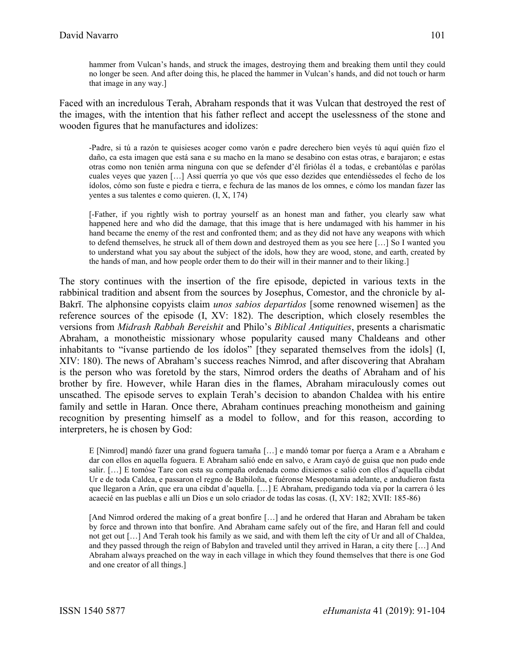hammer from Vulcan's hands, and struck the images, destroying them and breaking them until they could no longer be seen. And after doing this, he placed the hammer in Vulcan's hands, and did not touch or harm that image in any way.]

Faced with an incredulous Terah, Abraham responds that it was Vulcan that destroyed the rest of the images, with the intention that his father reflect and accept the uselessness of the stone and wooden figures that he manufactures and idolizes:

-Padre, si tú a razón te quisieses acoger como varón e padre derechero bien veyés tú aquí quién fizo el daño, ca esta imagen que está sana e su macho en la mano se desabino con estas otras, e barajaron; e estas otras como non tenién arma ninguna con que se defender d'él firiólas él a todas, e crebantólas e parólas cuales veyes que yazen […] Assí querría yo que vós que esso dezides que entendiéssedes el fecho de los ídolos, cómo son fuste e piedra e tierra, e fechura de las manos de los omnes, e cómo los mandan fazer las yentes a sus talentes e como quieren. (I, X, 174)

[-Father, if you rightly wish to portray yourself as an honest man and father, you clearly saw what happened here and who did the damage, that this image that is here undamaged with his hammer in his hand became the enemy of the rest and confronted them; and as they did not have any weapons with which to defend themselves, he struck all of them down and destroyed them as you see here […] So I wanted you to understand what you say about the subject of the idols, how they are wood, stone, and earth, created by the hands of man, and how people order them to do their will in their manner and to their liking.]

The story continues with the insertion of the fire episode, depicted in various texts in the rabbinical tradition and absent from the sources by Josephus, Comestor, and the chronicle by al-Bakrī. The alphonsine copyists claim *unos sabios departidos* [some renowned wisemen] as the reference sources of the episode (I, XV: 182). The description, which closely resembles the versions from *Midrash Rabbah Bereishit* and Philo's *Biblical Antiquities*, presents a charismatic Abraham, a monotheistic missionary whose popularity caused many Chaldeans and other inhabitants to "ívanse partiendo de los ídolos" [they separated themselves from the idols] (I, XIV: 180). The news of Abraham's success reaches Nimrod, and after discovering that Abraham is the person who was foretold by the stars, Nimrod orders the deaths of Abraham and of his brother by fire. However, while Haran dies in the flames, Abraham miraculously comes out unscathed. The episode serves to explain Terah's decision to abandon Chaldea with his entire family and settle in Haran. Once there, Abraham continues preaching monotheism and gaining recognition by presenting himself as a model to follow, and for this reason, according to interpreters, he is chosen by God:

E [Nimrod] mandó fazer una grand foguera tamaña […] e mandó tomar por fuerça a Aram e a Abraham e dar con ellos en aquella foguera. E Abraham salió ende en salvo, e Aram cayó de guisa que non pudo ende salir. […] E tomóse Tare con esta su compaña ordenada como dixiemos e salió con ellos d'aquella cibdat Ur e de toda Caldea, e passaron el regno de Babiloña, e fuéronse Mesopotamia adelante, e andudieron fasta que llegaron a Arán, que era una cibdat d'aquella. […] E Abraham, predigando toda vía por la carrera ó les acaecié en las pueblas e allí un Dios e un solo criador de todas las cosas. (I, XV: 182; XVII: 185-86)

[And Nimrod ordered the making of a great bonfire […] and he ordered that Haran and Abraham be taken by force and thrown into that bonfire. And Abraham came safely out of the fire, and Haran fell and could not get out […] And Terah took his family as we said, and with them left the city of Ur and all of Chaldea, and they passed through the reign of Babylon and traveled until they arrived in Haran, a city there […] And Abraham always preached on the way in each village in which they found themselves that there is one God and one creator of all things.]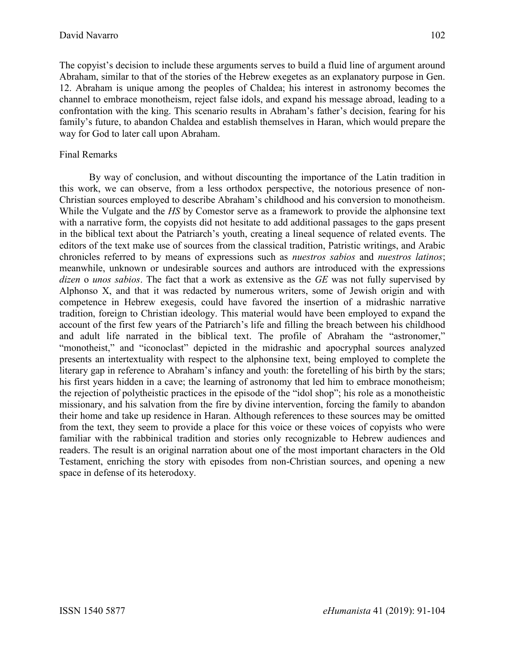The copyist's decision to include these arguments serves to build a fluid line of argument around Abraham, similar to that of the stories of the Hebrew exegetes as an explanatory purpose in Gen. 12. Abraham is unique among the peoples of Chaldea; his interest in astronomy becomes the channel to embrace monotheism, reject false idols, and expand his message abroad, leading to a confrontation with the king. This scenario results in Abraham's father's decision, fearing for his family's future, to abandon Chaldea and establish themselves in Haran, which would prepare the way for God to later call upon Abraham.

# Final Remarks

By way of conclusion, and without discounting the importance of the Latin tradition in this work, we can observe, from a less orthodox perspective, the notorious presence of non-Christian sources employed to describe Abraham's childhood and his conversion to monotheism. While the Vulgate and the *HS* by Comestor serve as a framework to provide the alphonsine text with a narrative form, the copyists did not hesitate to add additional passages to the gaps present in the biblical text about the Patriarch's youth, creating a lineal sequence of related events. The editors of the text make use of sources from the classical tradition, Patristic writings, and Arabic chronicles referred to by means of expressions such as *nuestros sabios* and *nuestros latinos*; meanwhile, unknown or undesirable sources and authors are introduced with the expressions *dizen* o *unos sabios*. The fact that a work as extensive as the *GE* was not fully supervised by Alphonso X, and that it was redacted by numerous writers, some of Jewish origin and with competence in Hebrew exegesis, could have favored the insertion of a midrashic narrative tradition, foreign to Christian ideology. This material would have been employed to expand the account of the first few years of the Patriarch's life and filling the breach between his childhood and adult life narrated in the biblical text. The profile of Abraham the "astronomer," "monotheist," and "iconoclast" depicted in the midrashic and apocryphal sources analyzed presents an intertextuality with respect to the alphonsine text, being employed to complete the literary gap in reference to Abraham's infancy and youth: the foretelling of his birth by the stars; his first years hidden in a cave; the learning of astronomy that led him to embrace monotheism; the rejection of polytheistic practices in the episode of the "idol shop"; his role as a monotheistic missionary, and his salvation from the fire by divine intervention, forcing the family to abandon their home and take up residence in Haran. Although references to these sources may be omitted from the text, they seem to provide a place for this voice or these voices of copyists who were familiar with the rabbinical tradition and stories only recognizable to Hebrew audiences and readers. The result is an original narration about one of the most important characters in the Old Testament, enriching the story with episodes from non-Christian sources, and opening a new space in defense of its heterodoxy.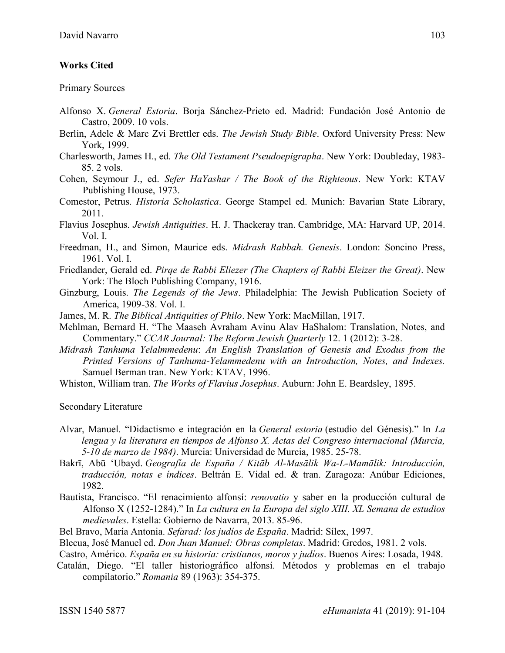### **Works Cited**

Primary Sources

- Alfonso X. *General Estoria*. Borja Sánchez-Prieto ed. Madrid: Fundación José Antonio de Castro, 2009. 10 vols.
- Berlin, Adele & Marc Zvi Brettler eds. *The Jewish Study Bible*. Oxford University Press: New York, 1999.
- Charlesworth, James H., ed. *The Old Testament Pseudoepigrapha*. New York: Doubleday, 1983- 85. 2 vols.
- Cohen, Seymour J., ed. *Sefer HaYashar / The Book of the Righteous*. New York: KTAV Publishing House, 1973.
- Comestor, Petrus. *Historia Scholastica*. George Stampel ed. Munich: Bavarian State Library, 2011.
- Flavius Josephus. *Jewish Antiquities*. H. J. Thackeray tran. Cambridge, MA: Harvard UP, 2014. Vol. I.
- Freedman, H., and Simon, Maurice eds. *Midrash Rabbah. Genesis*. London: Soncino Press, 1961. Vol. I.
- Friedlander, Gerald ed. *Pirqe de Rabbi Eliezer (The Chapters of Rabbi Eleizer the Great)*. New York: The Bloch Publishing Company, 1916.
- Ginzburg, Louis. *The Legends of the Jews*. Philadelphia: The Jewish Publication Society of America, 1909-38. Vol. I.
- James, M. R. *The Biblical Antiquities of Philo*. New York: MacMillan, 1917.
- Mehlman, Bernard H. "The Maaseh Avraham Avinu Alav HaShalom: Translation, Notes, and Commentary." *CCAR Journal: The Reform Jewish Quarterly* 12. 1 (2012): 3-28.
- *Midrash Tanhuma Yelalmmedenu*: *An English Translation of Genesis and Exodus from the Printed Versions of Tanhuma-Yelammedenu with an Introduction, Notes, and Indexes.* Samuel Berman tran. New York: KTAV, 1996.
- Whiston, William tran. *The Works of Flavius Josephus*. Auburn: John E. Beardsley, 1895.

Secondary Literature

- Alvar, Manuel. "Didactismo e integración en la *General estoria* (estudio del Génesis)." In *La lengua y la literatura en tiempos de Alfonso X. Actas del Congreso internacional (Murcia, 5-10 de marzo de 1984)*. Murcia: Universidad de Murcia, 1985. 25-78.
- Bakrī, Abū ʻUbayd. *Geografía de España / Kitāb Al-Masālik Wa-L-Mamālik: Introducción, traducción, notas e índices*. Beltrán E. Vidal ed. & tran. Zaragoza: Anúbar Ediciones, 1982.
- Bautista, Francisco. "El renacimiento alfonsí: *renovatio* y saber en la producción cultural de Alfonso X (1252-1284)." In *La cultura en la Europa del siglo XIII. XL Semana de estudios medievales*. Estella: Gobierno de Navarra, 2013. 85-96.
- Bel Bravo, María Antonia. *Sefarad: los judíos de España*. Madrid: Sílex, 1997.
- Blecua, José Manuel ed. *Don Juan Manuel: Obras completas*. Madrid: Gredos, 1981. 2 vols.

Castro, Américo. *España en su historia: cristianos, moros y judíos*. Buenos Aires: Losada, 1948.

Catalán, Diego. "El taller historiográfico alfonsí. Métodos y problemas en el trabajo compilatorio." *Romania* 89 (1963): 354-375.